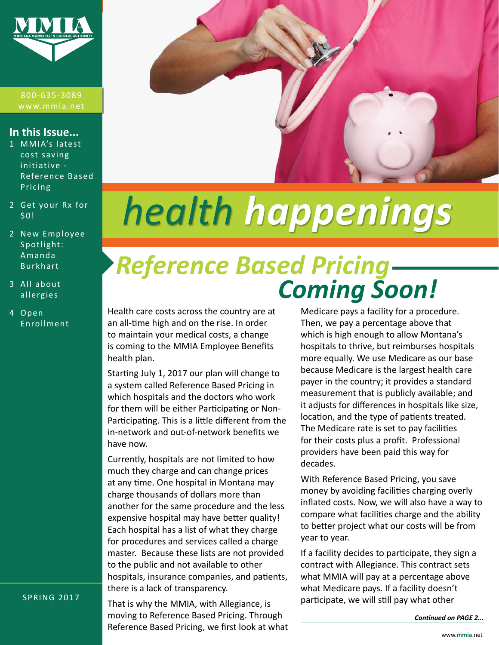

800-635-3089

#### **In this Issue...**

- 1 MMIA's latest cost saving initiative - Reference Based Pricing
- [2](#page-1-0) Get your Rx for \$0!
- 2 New Employee Spotlight: Amanda Burkhart
- 3 All about allergies
- 4 Open Enrollment



# *health happenings*

# *Reference Based Pricing Coming Soon!*

Health care costs across the country are at an all-time high and on the rise. In order to maintain your medical costs, a change is coming to the MMIA Employee Benefits health plan.

Starting July 1, 2017 our plan will change to a system called Reference Based Pricing in which hospitals and the doctors who work for them will be either Participating or Non-Participating. This is a little different from the in-network and out-of-network benefits we have now.

Currently, hospitals are not limited to how much they charge and can change prices at any time. One hospital in Montana may charge thousands of dollars more than another for the same procedure and the less expensive hospital may have better quality! Each hospital has a list of what they charge for procedures and services called a charge master. Because these lists are not provided to the public and not available to other hospitals, insurance companies, and patients, there is a lack of transparency.

That is why the MMIA, with Allegiance, is moving to Reference Based Pricing. Through Reference Based Pricing, we first look at what

Medicare pays a facility for a procedure. Then, we pay a percentage above that which is high enough to allow Montana's hospitals to thrive, but reimburses hospitals more equally. We use Medicare as our base because Medicare is the largest health care payer in the country; it provides a standard measurement that is publicly available; and it adjusts for differences in hospitals like size, location, and the type of patients treated. The Medicare rate is set to pay facilities for their costs plus a profit. Professional providers have been paid this way for decades.

With Reference Based Pricing, you save money by avoiding facilities charging overly inflated costs. Now, we will also have a way to compare what facilities charge and the ability to better project what our costs will be from year to year.

If a facility decides to participate, they sign a contract with Allegiance. This contract sets what MMIA will pay at a percentage above what Medicare pays. If a facility doesn't participate, we will still pay what other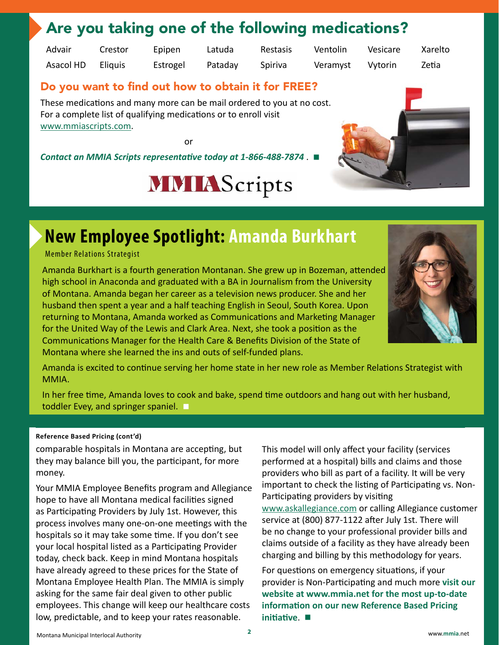### <span id="page-1-0"></span>Are you taking one of the following medications?

Advair Asacol HD Crestor **Eliquis** 

Epipen Estrogel Latuda Pataday Restasis

Spiriva

Ventolin Veramyst Vesicare Vytorin

Xarelto Zetia

#### Do you want to find out how to obtain it for FREE?

These medications and many more can be mail ordered to you at no cost. For a complete list of qualifying medications or to enroll visit [www.mmiascripts.com.](http://www.mmiascripts.com)

or

*Contact an MMIA Scripts representative today at 1-866-488-7874* . **■**

# **MMIAScripts**



## **New Employee Spotlight: Amanda Burkhart**

#### Member Relations Strategist

Amanda Burkhart is a fourth generation Montanan. She grew up in Bozeman, attended high school in Anaconda and graduated with a BA in Journalism from the University of Montana. Amanda began her career as a television news producer. She and her husband then spent a year and a half teaching English in Seoul, South Korea. Upon returning to Montana, Amanda worked as Communications and Marketing Manager for the United Way of the Lewis and Clark Area. Next, she took a position as the Communications Manager for the Health Care & Benefits Division of the State of Montana where she learned the ins and outs of self-funded plans.



Amanda is excited to continue serving her home state in her new role as Member Relations Strategist with MMIA.

In her free time, Amanda loves to cook and bake, spend time outdoors and hang out with her husband, toddler Evey, and springer spaniel. **■**

#### **Reference Based Pricing (cont'd)**

comparable hospitals in Montana are accepting, but they may balance bill you, the participant, for more money.

Your MMIA Employee Benefits program and Allegiance hope to have all Montana medical facilities signed as Participating Providers by July 1st. However, this process involves many one-on-one meetings with the hospitals so it may take some time. If you don't see your local hospital listed as a Participating Provider today, check back. Keep in mind Montana hospitals have already agreed to these prices for the State of Montana Employee Health Plan. The MMIA is simply asking for the same fair deal given to other public employees. This change will keep our healthcare costs low, predictable, and to keep your rates reasonable.

This model will only affect your facility (services performed at a hospital) bills and claims and those providers who bill as part of a facility. It will be very important to check the listing of Participating vs. Non-Participating providers by visiting [www.askallegiance.com](http://www.askallegiance.com) or calling Allegiance customer service at (800) 877-1122 after July 1st. There will be no change to your professional provider bills and claims outside of a facility as they have already been charging and billing by this methodology for years.

For questions on emergency situations, if your provider is Non-Participating and much more **visit our website at [www.mmia.net](http://www.mmia.net) for the most up-to-date information on our new Reference Based Pricing initiative**. **■**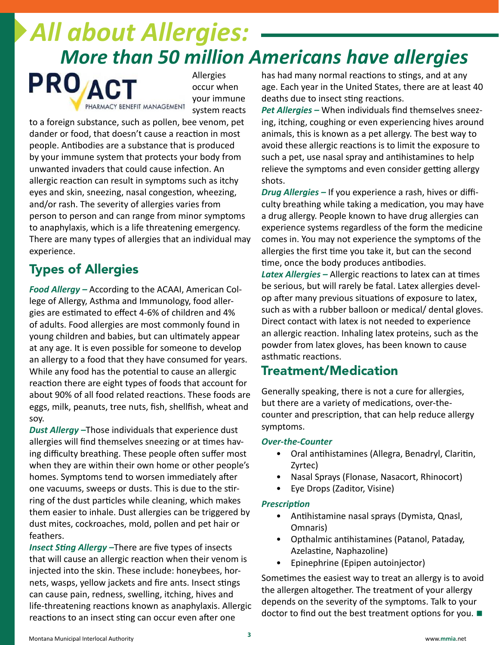# *All about Allergies: More than 50 million Americans have allergies*



Allergies occur when your immune system reacts

to a foreign substance, such as pollen, bee venom, pet dander or food, that doesn't cause a reaction in most people. Antibodies are a substance that is produced by your immune system that protects your body from unwanted invaders that could cause infection. An allergic reaction can result in symptoms such as itchy eyes and skin, sneezing, nasal congestion, wheezing, and/or rash. The severity of allergies varies from person to person and can range from minor symptoms to anaphylaxis, which is a life threatening emergency. There are many types of allergies that an individual may experience.

### Types of Allergies

*Food Allergy –* According to the ACAAI, American College of Allergy, Asthma and Immunology, food allergies are estimated to effect 4-6% of children and 4% of adults. Food allergies are most commonly found in young children and babies, but can ultimately appear at any age. It is even possible for someone to develop an allergy to a food that they have consumed for years. While any food has the potential to cause an allergic reaction there are eight types of foods that account for about 90% of all food related reactions. These foods are eggs, milk, peanuts, tree nuts, fish, shellfish, wheat and soy.

*Dust Allergy –*Those individuals that experience dust allergies will find themselves sneezing or at times having difficulty breathing. These people often suffer most when they are within their own home or other people's homes. Symptoms tend to worsen immediately after one vacuums, sweeps or dusts. This is due to the stirring of the dust particles while cleaning, which makes them easier to inhale. Dust allergies can be triggered by dust mites, cockroaches, mold, pollen and pet hair or feathers.

*Insect Sting Allergy –*There are five types of insects that will cause an allergic reaction when their venom is injected into the skin. These include: honeybees, hornets, wasps, yellow jackets and fire ants. Insect stings can cause pain, redness, swelling, itching, hives and life-threatening reactions known as anaphylaxis. Allergic reactions to an insect sting can occur even after one

has had many normal reactions to stings, and at any age. Each year in the United States, there are at least 40 deaths due to insect sting reactions.

*Pet Allergies –* When individuals find themselves sneezing, itching, coughing or even experiencing hives around animals, this is known as a pet allergy. The best way to avoid these allergic reactions is to limit the exposure to such a pet, use nasal spray and antihistamines to help relieve the symptoms and even consider getting allergy shots.

*Drug Allergies –* If you experience a rash, hives or difficulty breathing while taking a medication, you may have a drug allergy. People known to have drug allergies can experience systems regardless of the form the medicine comes in. You may not experience the symptoms of the allergies the first time you take it, but can the second time, once the body produces antibodies.

*Latex Allergies –* Allergic reactions to latex can at times be serious, but will rarely be fatal. Latex allergies develop after many previous situations of exposure to latex, such as with a rubber balloon or medical/ dental gloves. Direct contact with latex is not needed to experience an allergic reaction. Inhaling latex proteins, such as the powder from latex gloves, has been known to cause asthmatic reactions.

#### Treatment/Medication

Generally speaking, there is not a cure for allergies, but there are a variety of medications, over-thecounter and prescription, that can help reduce allergy symptoms.

#### *Over-the-Counter*

- Oral antihistamines (Allegra, Benadryl, Claritin, Zyrtec)
- Nasal Sprays (Flonase, Nasacort, Rhinocort)
- Eye Drops (Zaditor, Visine)

#### *Prescription*

- Antihistamine nasal sprays (Dymista, Qnasl, Omnaris)
- Opthalmic antihistamines (Patanol, Pataday, Azelastine, Naphazoline)
- Epinephrine (Epipen autoinjector)

Sometimes the easiest way to treat an allergy is to avoid the allergen altogether. The treatment of your allergy depends on the severity of the symptoms. Talk to your doctor to find out the best treatment options for you. **■**